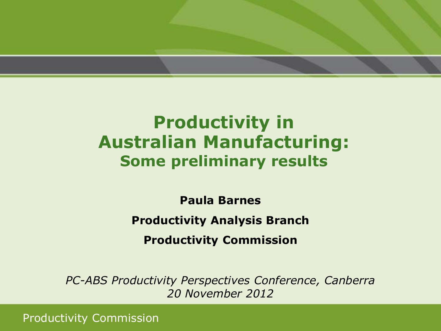

### **Productivity in Australian Manufacturing: Some preliminary results**

**Paula Barnes Productivity Analysis Branch Productivity Commission**

*PC-ABS Productivity Perspectives Conference, Canberra 20 November 2012*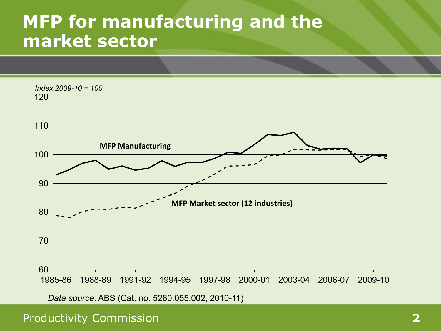### **MFP for manufacturing and the market sector**

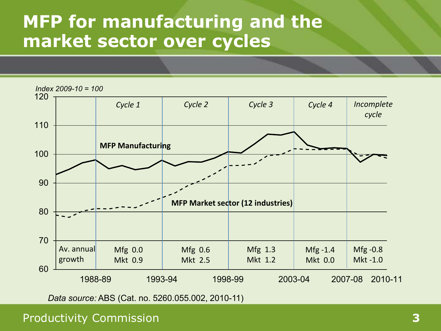# **MFP for manufacturing and the market sector over cycles**

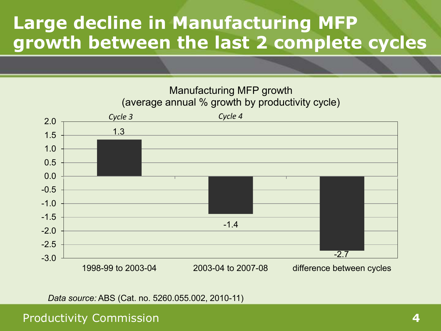# **Large decline in Manufacturing MFP growth between the last 2 complete cycles**



*Data source:* ABS (Cat. no. 5260.055.002, 2010-11)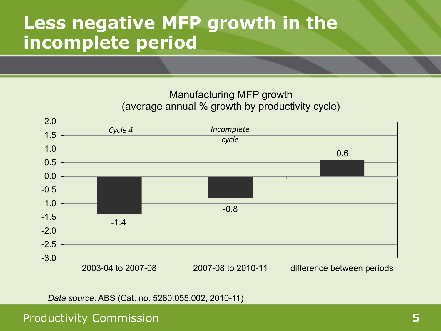### **Less negative MFP growth in the incomplete period**

#### Manufacturing MFP growth (average annual % growth by productivity cycle)



*Data source:* ABS (Cat. no. 5260.055.002, 2010-11)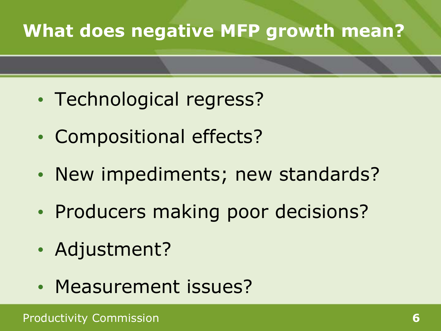# **What does negative MFP growth mean?**

- Technological regress?
- Compositional effects?
- New impediments; new standards?
- Producers making poor decisions?
- Adjustment?
- Measurement issues?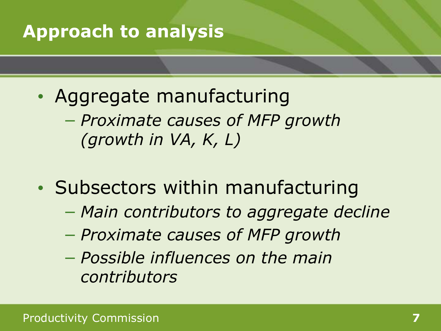# **Approach to analysis**

- Aggregate manufacturing − *Proximate causes of MFP growth (growth in VA, K, L)*
- Subsectors within manufacturing
	- − *Main contributors to aggregate decline*
	- − *Proximate causes of MFP growth*
	- − *Possible influences on the main contributors*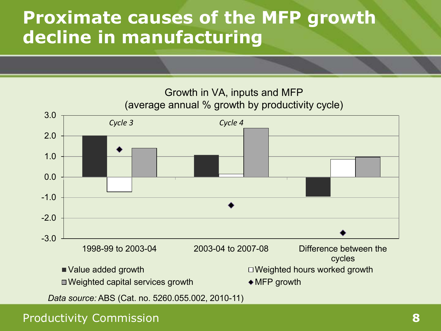### **Proximate causes of the MFP growth decline in manufacturing**

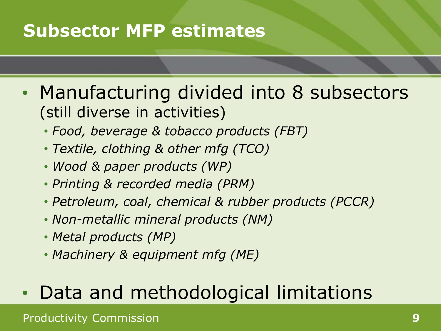# **Subsector MFP estimates**

- Manufacturing divided into 8 subsectors (still diverse in activities)
	- *Food, beverage & tobacco products (FBT)*
	- *Textile, clothing & other mfg (TCO)*
	- *Wood & paper products (WP)*
	- *Printing & recorded media (PRM)*
	- *Petroleum, coal, chemical & rubber products (PCCR)*
	- *Non-metallic mineral products (NM)*
	- *Metal products (MP)*
	- *Machinery & equipment mfg (ME)*

# • Data and methodological limitations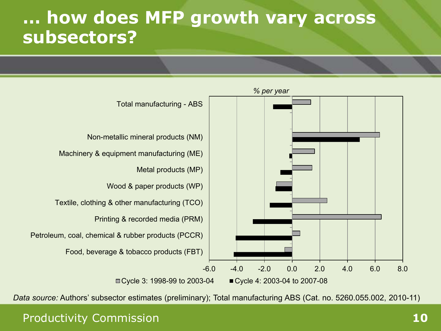### **… how does MFP growth vary across subsectors?**



*Data source:* Authors' subsector estimates (preliminary); Total manufacturing ABS (Cat. no. 5260.055.002, 2010-11)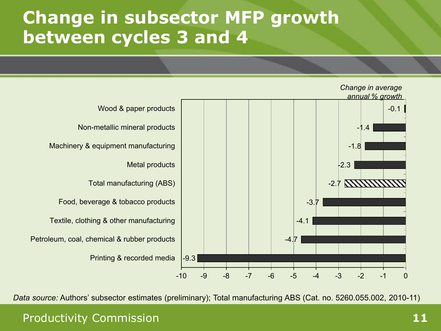### **Change in subsector MFP growth between cycles 3 and 4**



*Data source:* Authors' subsector estimates (preliminary); Total manufacturing ABS (Cat. no. 5260.055.002, 2010-11)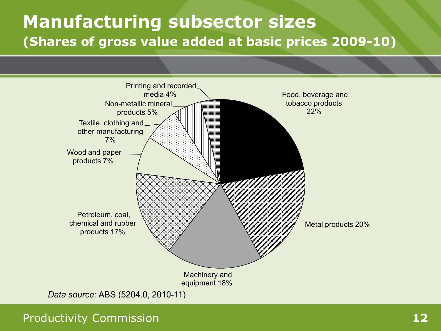### **Manufacturing subsector sizes (Shares of gross value added at basic prices 2009-10)**

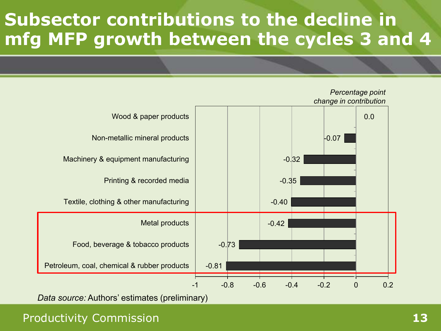# **Subsector contributions to the decline in mfg MFP growth between the cycles 3 and 4**



*Data source:* Authors' estimates (preliminary)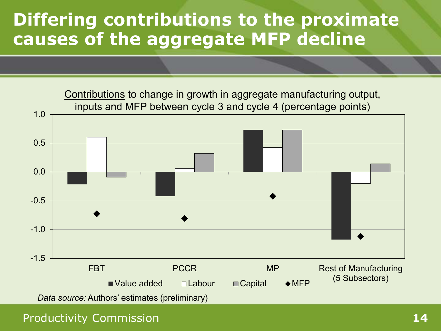## **Differing contributions to the proximate causes of the aggregate MFP decline**

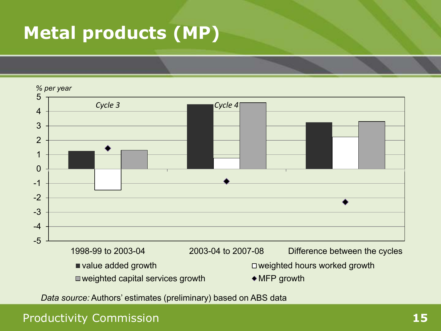# **Metal products (MP)**



*Data source:* Authors' estimates (preliminary) based on ABS data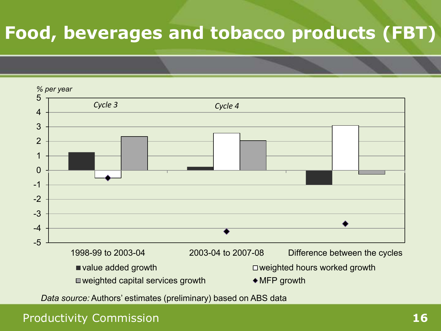# **Food, beverages and tobacco products (FBT)**



*Data source:* Authors' estimates (preliminary) based on ABS data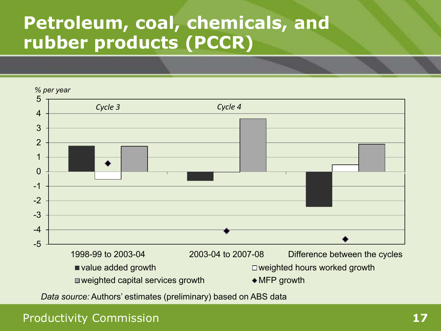# **Petroleum, coal, chemicals, and rubber products (PCCR)**



*Data source:* Authors' estimates (preliminary) based on ABS data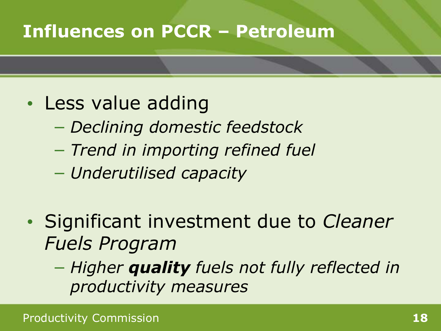# **Influences on PCCR – Petroleum**

- Less value adding
	- − *Declining domestic feedstock*
	- − *Trend in importing refined fuel*
	- − *Underutilised capacity*
- Significant investment due to *Cleaner Fuels Program* 
	- − *Higher quality fuels not fully reflected in productivity measures*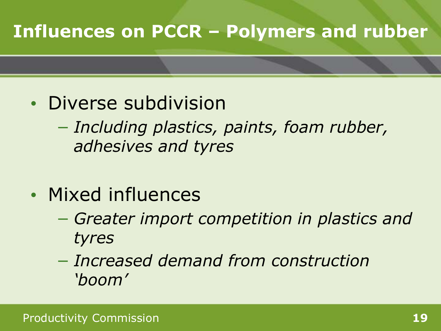# **Influences on PCCR – Polymers and rubber**

- Diverse subdivision
	- − *Including plastics, paints, foam rubber, adhesives and tyres*
- Mixed influences
	- − *Greater import competition in plastics and tyres*
	- − *Increased demand from construction 'boom'*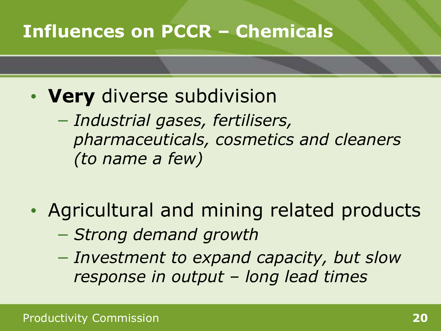# **Influences on PCCR – Chemicals**

- **Very** diverse subdivision
	- − *Industrial gases, fertilisers, pharmaceuticals, cosmetics and cleaners (to name a few)*
- Agricultural and mining related products
	- − *Strong demand growth*
	- − *Investment to expand capacity, but slow response in output – long lead times*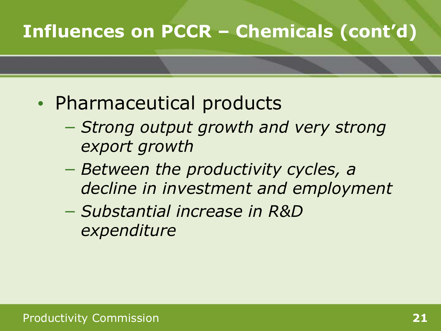# **Influences on PCCR – Chemicals (cont'd)**

- Pharmaceutical products
	- − *Strong output growth and very strong export growth*
	- − *Between the productivity cycles, a decline in investment and employment*
	- − *Substantial increase in R&D expenditure*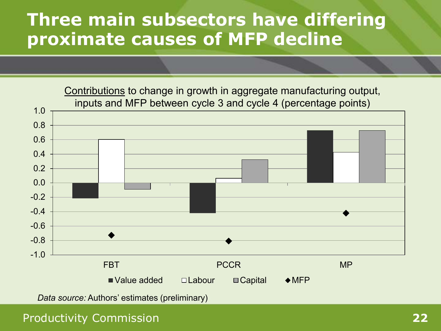### **Three main subsectors have differing proximate causes of MFP decline**

 $-1.0$ -0.8 -0.6 -0.4 -0.2 0.0 0.2 0.4 0.6 0.8 1.0 FBT PCCR MP  $\blacksquare$  Value added  $\Box$  Labour  $\Box$  Capital  $\blacklozenge$  MFP Contributions to change in growth in aggregate manufacturing output, inputs and MFP between cycle 3 and cycle 4 (percentage points)

*Data source:* Authors' estimates (preliminary)